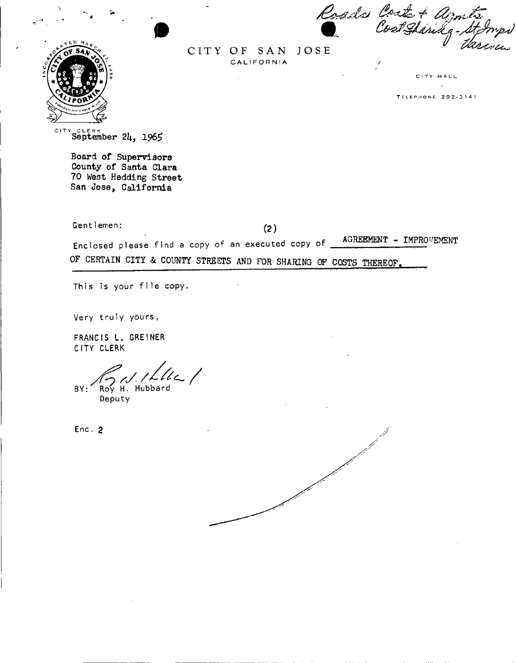Roads Coststandy-Stomp



CITY OF SAN JOSE CALIFORNIA

CITY HALL

**TELEPHONE 292-3141** 

CIT Y CLER K September *2k, 196\$* 

Board of Supervisors County of Santa Clara 70 West Hedding Street San Jose, California

Gentlemen:  $(2)$ 

Enclosed please find a copy of an executed copy of <u>AGREEMENT - IMPROVEMENT</u> OF CERTAIN CITY & COUNTY STREETS AND FOR SHARING OF COSTS THEREOF.

This is your file copy.

Very truly yours,

FRANCIS L. GREINER CITY CLERK

BY: Roy H. Hubbard

Deputy

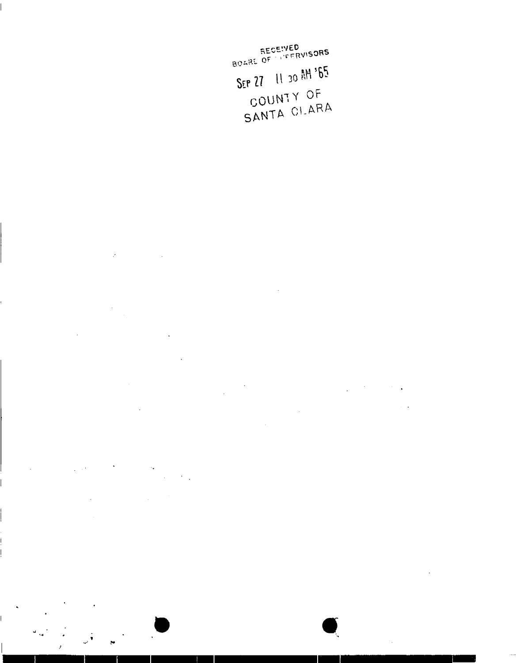RECEIVED<br>BOARE OF LIFERVISORS SEP 27 11 30 AM '65 COUNTY OF

SANTA CLARA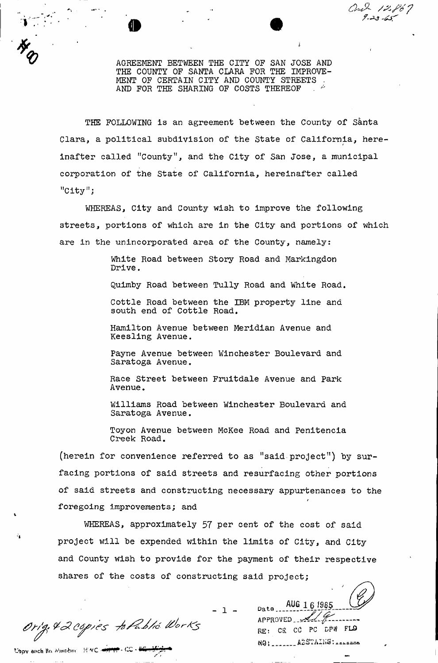AGREEMENT BETWEEN THE CITY OF SAN JOSE AND THE COUNTY OF SANTA CLARA FOR THE IMPROVE-MENT OF CERTAIN CITY AND COUNTY STREETS AND FOR THE SHARING OF COSTS THEREOF

Our 12867

THE FOLLOWING is an agreement between the County of Santa Clara, a political subdivision of the State of California, hereinafter called "County", and the City of San Jose, a municipal corporation of the State of California, hereinafter called "City";

WHEREAS, City and County wish to improve the following streets, portions of which are in the City and portions of which are in the unincorporated area of the County, namely:

> White Road between Story Road and Markingdon Drive.

Quimby Road between Tully Road and White Road.

Cottle Road between the IBM property line and south end of Cottle Road.

Hamilton Avenue between Meridian Avenue and Keesling Avenue.

Payne Avenue between Winchester Boulevard and Saratoga Avenue.

Race Street between Fruitdale Avenue and Park Avenue.

Williams Road between Winchester Boulevard and Saratoga Avenue.

Toyon Avenue between McKee Road and Penitencia Creek Road.

(herein for convenience referred to as "said project") by surfacing portions of said streets and resurfacing other portions of said streets and constructing necessary appurtenances to the *t*  foregoing improvements; and

WHEREAS, approximately 57 per cent of the cost of said project will be expended within the limits of City, and City and County wish to provide for the payment of their respective shares of the costs of constructing said project;

Orig. & 2 copies to Public Works

t'opy each Bo Munber HWC + 11 CC - CC - 25

்

*&* 

<u>1 \_ Date</u>\_\_**AUG** 16 1985<br>APPROVED RE: CE CC PC DPW FLO NOI \_\_\_\_\_\_\_ ABSTAINS : \_\_\_\_\_\_\_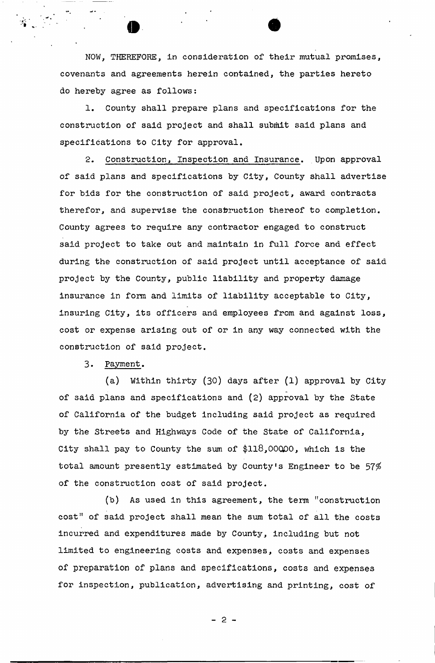NOW, THEREFORE, in consideration of their mutual promises, covenants and agreements herein contained, the parties hereto do hereby agree as follows:

1. County shall prepare plans and specifications for the construction of said project and shall submit said plans and specifications to City for approval.

2. Construction, Inspection and Insurance. Upon approval of said plans and specifications by City, County shall advertise for bids for the construction of said project, award contracts therefor, and supervise the construction thereof to completion. County agrees to require any contractor engaged to construct said project to take out and maintain in full force and effect during the construction of said project until acceptance of said project by the County, public liability and property damage insurance in form and limits of liability acceptable to City, insuring City, its officers and employees from and against loss, cost or expense arising out of or in any way connected with the construction of said project.

3. Payment.

(a) Within thirty (30) days after (1) approval by City of said plans and specifications and (2) approval by the State of California of the budget including said project as required by the Streets and Highways Code of the State of California, City shall pay to County the sum of \$118,00000, which is the total amount presently estimated by County's Engineer to be  $57\%$ of the construction cost of said project.

(b) As used in this agreement, the term "construction cost" of said project shall mean the sum total of all the costs incurred and expenditures made by County, including but not limited to engineering costs and expenses, costs and expenses of preparation of plans and specifications, costs and expenses for inspection, publication, advertising and printing, cost of

 $-2-$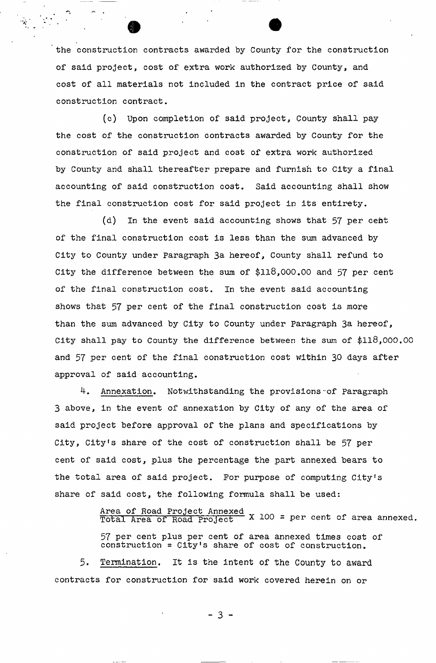the construction contracts awarded by County for the construction of said project, cost of extra work authorized by County, and cost of all materials not included in the contract price of said construction contract.

(c) Upon completion of said project, County shall pay the cost of the construction contracts awarded by County for the construction of said project and cost of extra work authorized by County and shall thereafter prepare and furnish to City a final accounting of said construction cost. Said accounting shall show the final construction cost for said project in its entirety.

(d) In the event said accounting shows that  $57$  per cent of the final construction cost is less than the sum advanced by City to County under Paragraph 3a hereof, County shall refund to City the difference between the sum of \$118,000.00 and 57 per cent of the final construction cost. In the event said accounting shows that 57 per cent of the final construction cost is more than the sum advanced by City to County under Paragraph 3a hereof, City shall pay to County the difference between the sum of \$118,000.00 and 57 per cent of the final construction cost within 30 days after approval of said accounting.

4. Annexation. Notwithstanding the provisions-of Paragraph 3 above, in the event of annexation by City of any of the area of said project before approval of the plans and specifications by City, City's share of the cost of construction shall be 57 per cent of said cost, plus the percentage the part annexed bears to the total area of said project. For purpose of computing City's share of said cost, the following formula shall be used:

> Area of Road Project Annexed . 100 Total Area of Road Project X 100 = per cent of area annexed

57 per cent plus per cent of area annexed times cost of construction =  $City's$  share of cost of construction.

Termination. It is the intent of the County to award  $\overline{\phantom{a}}$  . It is the intention. It is the intention. It is the intention. It is the intention of the  $\overline{\phantom{a}}$ contracts for construction for said work covered herein on or

 $-3 -$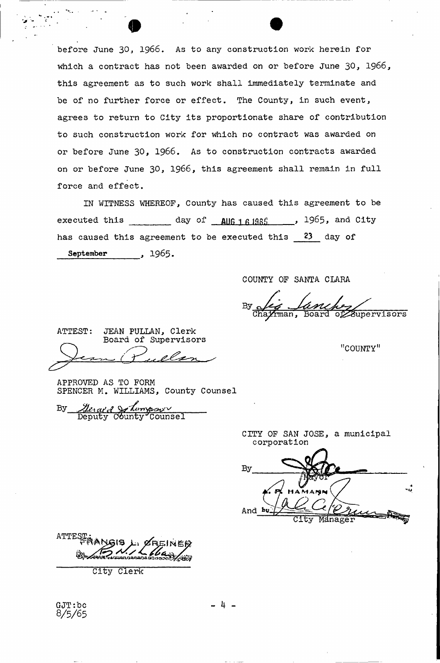before June 30, 1966. As to any construction work herein for which a contract has not been awarded on or before June 30, 1966, this agreement as to such work shall immediately terminate and be of no further force or effect. The County, in such event, agrees to return to City its proportionate share of contribution to such construction work for which no contract was awarded on or before June 30, 1966. As to construction contracts awarded on or before June 30, 1966, this agreement shall remain in full force and effect.

IN WITNESS WHEREOF, County has caused this agreement to be executed this \_\_\_\_\_\_\_\_\_ day of **AUG** 161985 , 1965, and City has caused this agreement to be executed this 23 day of September , 1965.

COUNTY OF SANTA CLARA

 $\mathrm{By}_{\underline{\bullet}}$ Board of Supervisors

"COUNTY"

ATTEST: JEAN PULLAN, Clerk Board of Supervisors

APPROVED AS TO FORM SPENCER M. WILLIAMS, County Counsel

*Merane Schompsur*<br>Deputy County Coun Deputy C>6unty'Counsel

CITY OF SAN JOSE, a municipal corporation

By And by

ATTEST

City Clerk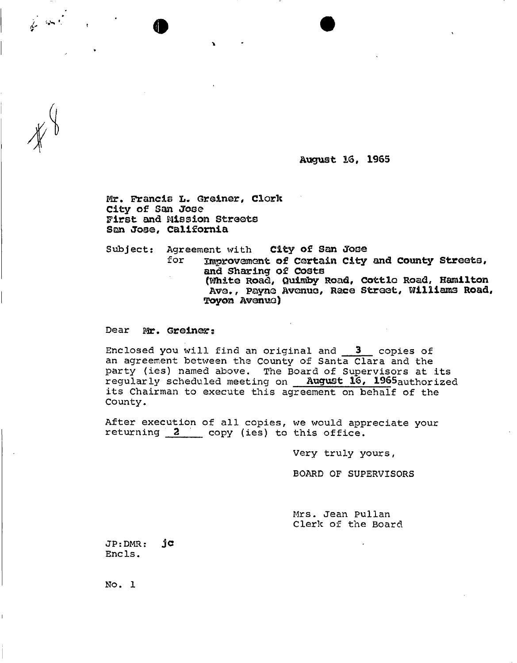**August 16, 1965** 

Mr. Francis L. Greiner, Clork City of San Jose First and Mission Streets Son Jose, California

Subject: Agreement with City of San Jose<br>for Therovement of Certain City

 $\bullet$   $\bullet$ 

Improvement of Certain City and County Streets, and Sharing of costs (Whit© Road, Quimby Road, Cottlo Road, Hamilton Ave., Payne Avenue, Race Street, Williams Road, Toyon Avenue)

Dear Mr. Greiner:

Enclosed you will find an original and **3** copies of an agreement between the County of Santa Clara and the party (ies) named above. The Board of Supervisors at its regularly scheduled meeting on August **16, 19S5**authorized its Chairman to execute this agreement on behalf of the County.

After execution of all copies, we would appreciate your returning 2 copy (ies) to this office.

Very truly yours,

BOARD OF SUPERVISORS

Mrs. Jean Pullan Clerk of the Board

JP:DMR: **jC**  Encls.

No. 1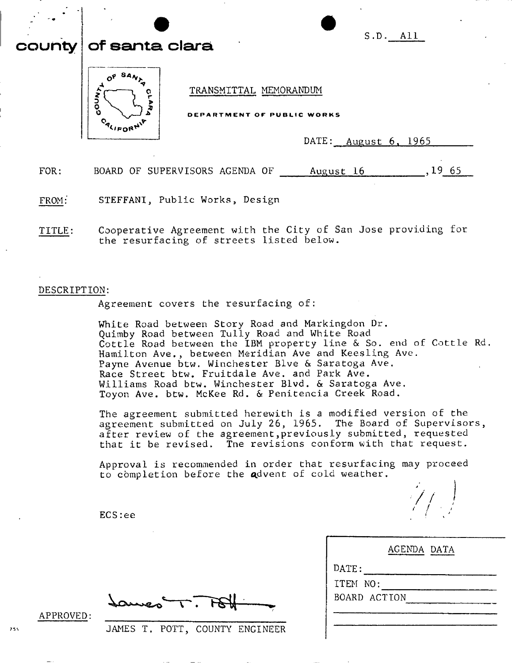|      | S.D. All<br>county of santa clara                                                 |
|------|-----------------------------------------------------------------------------------|
|      | TRANSMITTAL MEMORANDUM<br>٥<br>DEPARTMENT OF PUBLIC WORKS<br>DATE: August 6, 1965 |
| FOR: | BOARD OF SUPERVISORS AGENDA OF<br>19 65<br>August 16                              |

FROM: STEFFANI, Public Works, Design

TITLE: Cooperative Agreement with the City of San Jose providing for the resurfacing of streets listed below.

#### DESCRIPTION:

Agreement covers the resurfacing of:

White Road between Story Road and Markingdon Dr. Quimby Road between Tully Road and White Road Cottle Road between the IBM property line & So. end of Cottle Rd. Hamilton Ave., between Meridian Ave and Keesling Ave. Payne Avenue btw. Winchester Blve & Saratoga Ave. Race Street btw, Fruitdale Ave. and Park Ave. Williams Road btw. Winchester Blvd. & Saratoga Ave. Toyon Ave. btw. McKee Rd. & Penitencia Creek Road.

The agreement submitted herewith is a modified version of the agreement submitted on July 26, 1965. The Board of Supervisors, after review of the agreement,previously submitted, requested that it be revised. The revisions conform with that request.

Approval is recommended in order that resurfacing may proceed to completion before the advent of cold weather.

|               | ---- --<br>_________ | ____ | .                          |
|---------------|----------------------|------|----------------------------|
|               |                      |      | $\mathcal{L}(\mathcal{L})$ |
| <b>ECS:ee</b> |                      |      |                            |

| AGENDA DATA  |  |
|--------------|--|
| DATE:        |  |
| ITEM NO:     |  |
| BOARD ACTION |  |
|              |  |
|              |  |

auves T.

APPROVED:

 $755$ 

JAMES T. POTT, COUNTY ENGINEER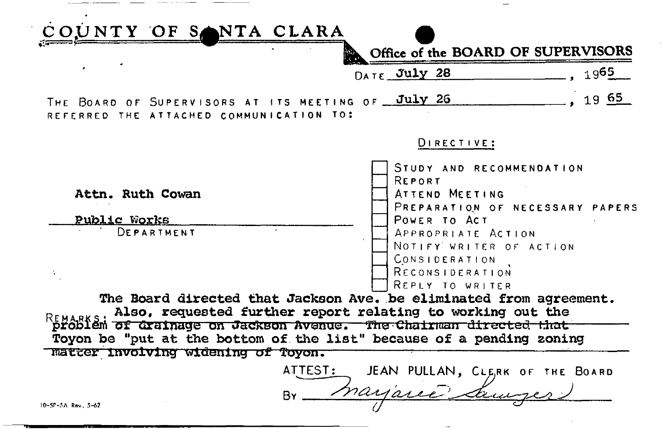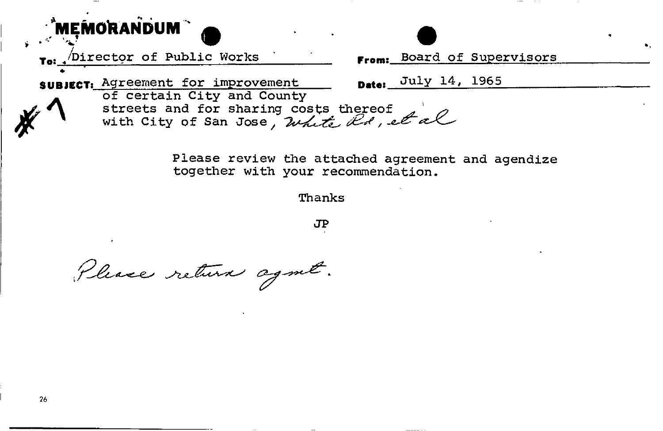

**Please review the attached agreement and agendize together with your recommendation.** 

**Thanks** 

**JP** 

Please return agent.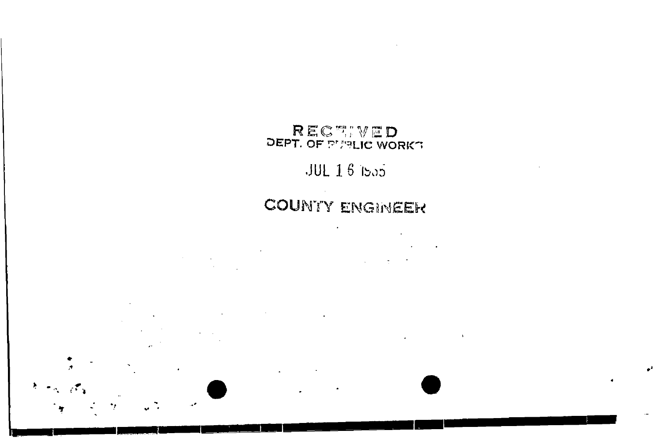# RECTIVED<br>DEPT. OF PLANE WORKT

**Contract Contract State** 

### $JUL$   $I$   $6$   $I$ ba5

## **COUNTY ENGINEER**

 $\Lambda$ 

e4

 $\sim$ 

 $\mathcal{L}^{\mathcal{L}}(\mathcal{L}^{\mathcal{L}})$  and  $\mathcal{L}^{\mathcal{L}}(\mathcal{L}^{\mathcal{L}})$  . The contribution of  $\mathcal{L}^{\mathcal{L}}$  $\mathcal{L}^{\text{max}}_{\text{max}}$  and  $\mathcal{L}^{\text{max}}_{\text{max}}$ 

 $\ddot{\phantom{a}}$  $\ddot{\phantom{0}}$ 

 $\mathcal{A} = \mathcal{A} \mathcal{A}$ 

٠,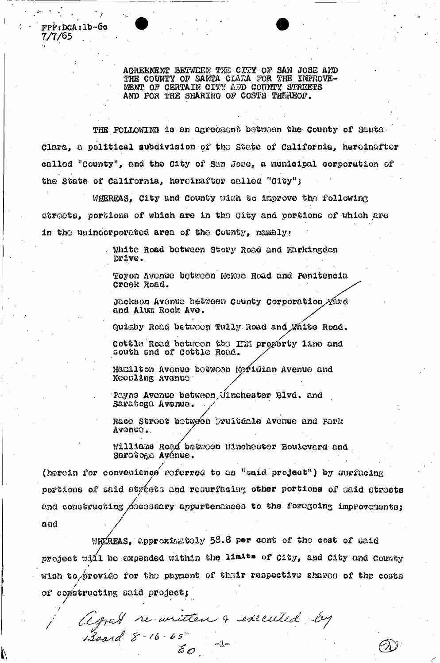AGREEMENT BETWEEN THE CITY OF SAN JOSE AND THE COUNTY OF SANTA CLARA FOR THE IMPROVE-MENT OF CERTAIN CITY AND COUNTY STREETS AND FOR THE SHARING OF COSTS THEREOF.

 $FPP$ : DCA: 1b-6c

 $\frac{1}{2}$ 

7/7/65 .

THE FOLLOWING is an agreement between the County of Santa Clam, a political subdivision of the Stoto of California, hereinafter called "County", and the City of San Jose, a municipal corporation of the State of California, hereinafter called "City":

WHEREAS, City and County with to improve the following otr©ots, portions of which are in the City and portions of which are in the unincorporated area of the County, namelys

> . White Road between Story Road and Mirkingdon Drive.

Toyon Avenue between HoKoe Road and Penitencia Crook &oad.

Jackson Avenue between County Corporation Xard and Alum Rock Ave.

Quimby Road betuoon Tully Road and White Road.

Cottle Road between the IIM property line and couth ©nd of Cottlo Road.

Hamilton Avonue between Meridian Avenue and Koooling Av©nua

/ Payne Avenuo between,Winchester Blvd. and Saratoga Avenue.

Raco Stroot botween Fruitdale Avenue and Park Avenuo.. /

l/illlaaa Roa^ betuoen uinchootor Boulevard and Saratoga Ay6nuo.

(herein for convenience referred to as "said project") by surfacing portions of said atgests and resurfacing other portions of said atgests and constructing MocGBBary appurtenances to the foregoing improvements;  $and$ 

WHEREAS, approximately  $53.8$  per cont of the cost of aaid project will be expended within the limits of  $c$ ity, and  $c$ ity and  $c$ ounty *t*  wish to provide for the payment of their respective shares of the costs of constructing said project;

 $\frac{1}{2}$  $\bullet$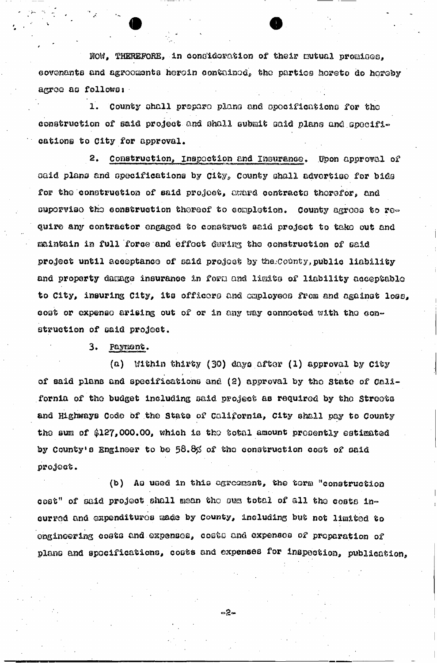\$0W, THEREFORE, in conGldemtion of their mutual promi**GQQ**, covenants and agrooments heroin contained, the parties hereto do hereby agroo as follows:

1, County ohall prepare plana and opocificationo for the construction of said project and shall submit said plans and specifications to City for approval.

2. Construction, inspection and insurance. Upon approval of oaid plans and specifications by City, County shall advertise for bids for the construction of said project, award contracts therefor, and supervise the construction thereof to completion. County agrees to require any contractor engaged to construct said project to take out and maintain in full force and effect during the construction of said project until acceptance of said project by the County, public liability and property damage insurance in foru and limits of liability acceptable to City, insuring City, its officers and employees from and against loss, cost or expense arising out of or in any way connected with the construction of said project.

3. Payment.

(a) Within thirty (30) days.after (1) approval by City of said plans and specifications and (2) approval by tho State of California of the budget including said project as required by the Streets and Highways Code of the State of California, City shall pay to County the sum of \$127,000.00, which is the total amount presently estimated by County's Engineer to be 58.8% of the construction cost of said project.

(b) Aq used in this agreement, the term "construction cost" of said project shall mean tho oua total of all the costs incur rod and expenditures raade by county, including but not limited to engineering costs and expenses, costs and expenses of preparation of piano and specifications, coots and expenses for inspection, publication,

ం2్లే⇔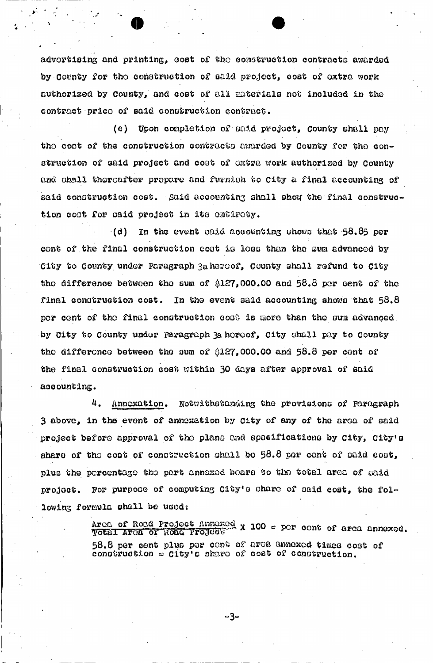advertising and printing, @ost of tho construction contracts awarded by County for the construction of said project, cost of extra work authorised by County, and cost of all materials not inoluded in the contract price of said construction contract.

(o) Upon completion of said project, County shall pay the cost of the construction contracts awarded by County for the construction of said project and coat of oxtra work authorized by County and shall thereafter prepare and furnish to City a final accounting of said construction cost. Said accounting shall show the final construction coot for caid project in its entirety.

 $(a)$  In the event gaid accounting shows that 58.85 per cent of the final construction cost is less than the sum advanced by City to County under paragraph 3aheroof, county shall refund to City tho difference between the sum of  $$127,000.00$  and  $$8.8$  por cent of the final construction cost. In the event said accounting shows that  $58.8$ per cent of the final construction cost is more than the sum advanced. by City to County under Paragraph 3a hereof, City shall pay to County tho difference between the sum of  $8127,000.00$  and  $58.8$  per cent of the final construction cost within 30 days after approval of said accounting.

4. Annexation. Notwithstanding the provisions of paragraph 3 above, in the event of annexation by city of any of the area of oaid project before approval of the plans and specifications by  $city$ ,  $city$  s share of tho coot of construction shall be 58.8 per cent of said coot, plus the percentage the part annexed boars to the total area of oaid project. For purpose of computing  $C10y'$ s share of said cost, the following formula shall be used:

> Arca of Road Project Annoxed x 100 = per cent of area annexed.<br>Total Arca of Noad Project x 100 = per cent of area annexed. 58.8 per cent plus por cant of area annexed times cost of construction a city's share of cost of construction.

> > -3−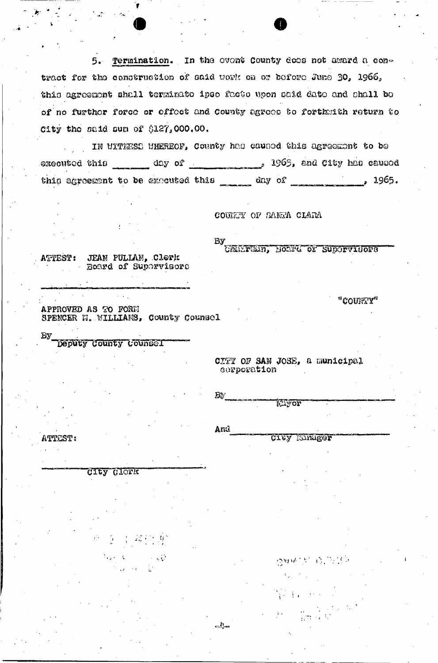5. Termination. In the ovent County does not award a contract for the construction of said work on or before June 30, 1966, this agreement shall terminate ipso facto upon said date and shall be of no furthor force or effect and County agrees to forthmith return to City the said sum of \$127,000.00.

IN UITRESS WHEREOF, County has caused this agreement to be this agreement to be executed this \_\_\_\_\_ day of \_\_\_\_\_\_\_\_\_\_ , 1965.

COUNTY OF SANTA CLARA

By

CHIPFRID, BOOM'S ON SUPORVISORS

"COUNTY"

ATTEST: JEAN PULLAN, Clerk Board of Supervisors

Deputy County Counsel

APPROVED AS TO FORM SPENCER M. WILLIAMS, County Counsel

> CITY OF SAN JOSE, a municipal corporation

BY.

And

یرانی

**ATTEST:** 

CIEY CLOFK

 $\frac{1}{2}$  ,  $\frac{1}{2}$  ,  $\frac{1}{2}$  ,  $\frac{1}{2}$  ,  $\frac{1}{2}$  ,  $\frac{1}{2}$ 

**Elyor** 

CIEY EInager

つかいこう じょうき

 $\frac{1}{2}$  ,  $\frac{1}{2}$  ,  $\frac{1}{2}$  ,  $\frac{1}{2}$  ,  $\frac{1}{2}$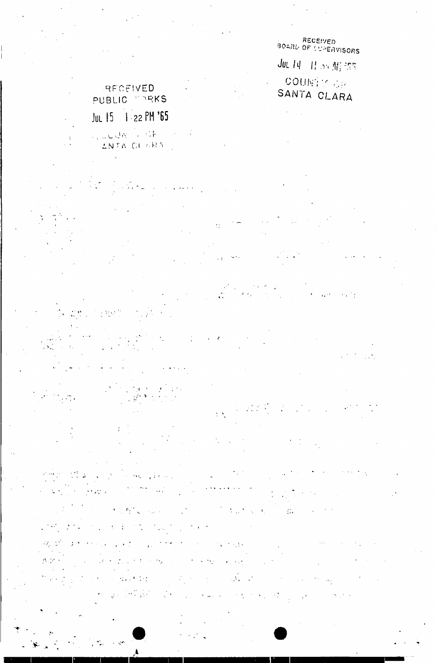RECEIVED<br>BOARD OF SUPERVISORS JUL 14 11 50 11:253 COUNTY OF SANTA CLARA

 $\phi_{\rm{in}}$  ,  $\phi$ 

 $\mathbf{A}^{(n)}$ 

### RECEIVED PUBLIC MORKS Jul 15 | 22 PM '65

LOUDER TO SEE THAT ANTA CLARA

 $\frac{1}{\sqrt{2}}$ 

 $\Omega$ 

 $\lambda_{\rm max}$ 

 $\frac{1}{2}$ 

 $\frac{1}{2}$  ,  $\frac{1}{2}$ 

 $\sim 10^{11}$   $\mu$  $\mathcal{E}^{(1)} \leftrightarrow \mathcal{E}^{(1)}$  by

 $\mathcal{L}^{(1)}$  $\mathcal{P}_\text{max}$  $\mathcal{V}_{\alpha}$ l.  $\sim 10^{11}$  .  $\mathcal{A}_1$ 

 $\tilde{\phantom{a}}$  $\sim$ 

 $\mathcal{A}_1$  $\frac{1}{4}$  $\mathcal{L}_{\mathbf{q}}$  ,  $\mathcal{L}_{\mathbf{q}}$  $\sim 3\%$  $\mathcal{O}(\mathbb{R}^2)$  $\mathcal{F}_{\mathcal{F}}$  $\ddot{\phantom{a}}$  $\mathcal{L}_{\mathcal{A}}$  ,  $\mathcal{L}_{\mathcal{A}}$  ,  $\mathcal{L}_{\mathcal{A}}$  $\sim$  $\sim 10$ 

 $\frac{1}{2} \frac{1}{2} \frac{1}{2} \frac{1}{2} \frac{1}{2} \frac{1}{2} \frac{1}{2} \frac{1}{2}$  $\mathcal{G}(\mathcal{F})$  $\epsilon_{\rm{max}}$ v. Ą. 17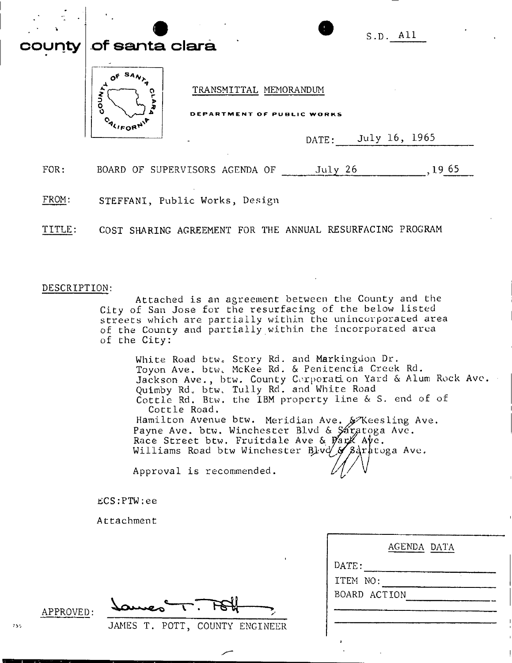| county | <b>Of santa clara</b> |                                |                                                      |         | S.D. All      |      |  |
|--------|-----------------------|--------------------------------|------------------------------------------------------|---------|---------------|------|--|
|        | ٥                     |                                | TRANSMITTAL MEMORANDUM<br>DEPARTMENT OF PUBLIC WORKS |         |               |      |  |
|        |                       |                                |                                                      | DATE:   | July 16, 1965 |      |  |
| FOR:   |                       | BOARD OF SUPERVISORS AGENDA OF |                                                      | July 26 |               | 1965 |  |

FROM: STEFFANI, Public Works, Design

TITLE: COST SHARING AGREEMENT FOR THE ANNUAL RESURFACING PROGRAM

### DESCRIPTION:

Attached is an agreement between the County and the City of San Jose for the resurfacing of the below listed streets which are partially within the unincorporated area of the County and partially within the incorporated area of the City:

White Road btw. Story Rd. and Markingdon Dr. Toyon Ave. btw. McKee Rd. & Penitencia Creek Rd. Jackson Ave., btw. County Corporation Yard & Alum Rock Ave. Quimby Rd. btw. Tully Rd. and White Road Cottle Rd. Btw. the IBM property line & S. end of of Cottle Road. Hamilton Avenue btw. Meridian Ave. & Keesling Ave. Payne Ave. btw. Winchester Blvd & Sáratoga Ave. . Race Street btw. Fruitdale Ave & Park Ave. Williams Road btw Winchester Blvd & Saratoga Ave.

Approval is recommended

ECS:PTW:ee

Attachment

|         | مصعد  |                 |
|---------|-------|-----------------|
| TAMEC - | DOTT. | COUNTY CMCLUCCO |

| APPROVED: |  |  |
|-----------|--|--|
|           |  |  |

JAMES T. POTT, COUNTY ENGINEER

|                  | AGENDA DATA |
|------------------|-------------|
| $\texttt{DATE:}$ |             |
| ITEM NO:         |             |
| BOARD ACTION     |             |
|                  |             |
|                  |             |
|                  |             |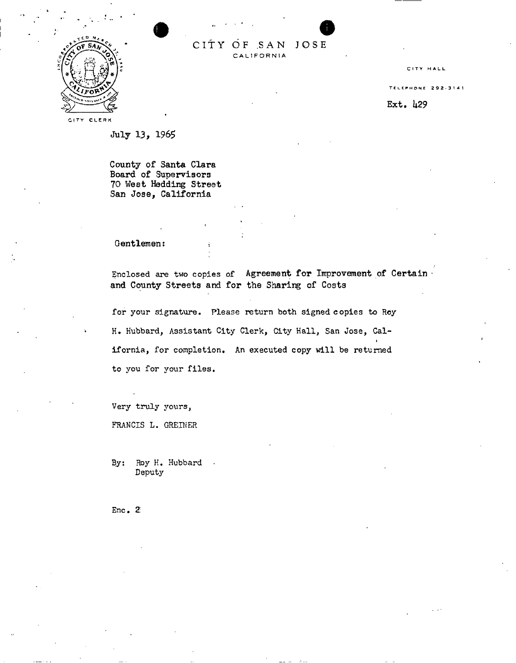

CITY OF SAN JOSE **CALIFORNI A** 

**CITY HALL** 

TELEPHON E 292 -314 1

Ext. *k29* 

CITY CLERK

July 13, 1965

County of Santa Clara Board of Supervisors 70 West Hedding Street San Jose, California

#### Gentlemen:

Enclosed are two copies of Agreement for Improvement of Certain and County Streets and for the Sharing of Costs

for your signature. Please return both signed copies to Roy H. Hubbard, Assistant City Clerk, City Hall, San Jose, California, for completion. An executed copy will be returned to you for your files.

Very truly yours,

FRANCIS L. GREINER

By: Roy H. Hubbard . Deputy

Enc. 2: